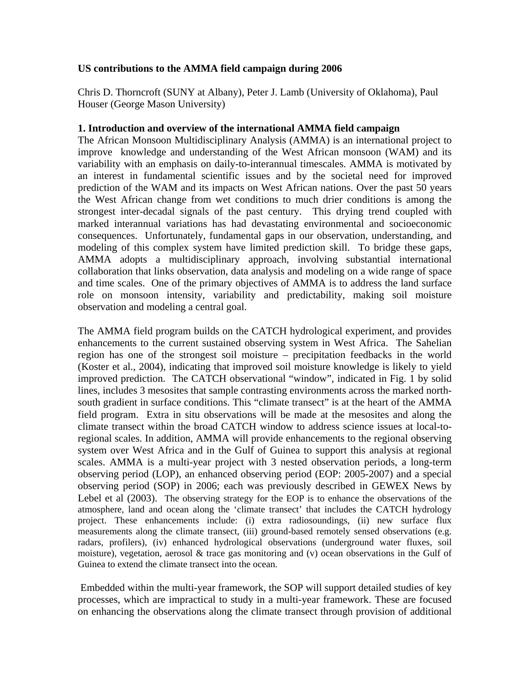## **US contributions to the AMMA field campaign during 2006**

Chris D. Thorncroft (SUNY at Albany), Peter J. Lamb (University of Oklahoma), Paul Houser (George Mason University)

### **1. Introduction and overview of the international AMMA field campaign**

The African Monsoon Multidisciplinary Analysis (AMMA) is an international project to improve knowledge and understanding of the West African monsoon (WAM) and its variability with an emphasis on daily-to-interannual timescales. AMMA is motivated by an interest in fundamental scientific issues and by the societal need for improved prediction of the WAM and its impacts on West African nations. Over the past 50 years the West African change from wet conditions to much drier conditions is among the strongest inter-decadal signals of the past century. This drying trend coupled with marked interannual variations has had devastating environmental and socioeconomic consequences. Unfortunately, fundamental gaps in our observation, understanding, and modeling of this complex system have limited prediction skill. To bridge these gaps, AMMA adopts a multidisciplinary approach, involving substantial international collaboration that links observation, data analysis and modeling on a wide range of space and time scales. One of the primary objectives of AMMA is to address the land surface role on monsoon intensity, variability and predictability, making soil moisture observation and modeling a central goal.

The AMMA field program builds on the CATCH hydrological experiment, and provides enhancements to the current sustained observing system in West Africa. The Sahelian region has one of the strongest soil moisture – precipitation feedbacks in the world (Koster et al., 2004), indicating that improved soil moisture knowledge is likely to yield improved prediction. The CATCH observational "window", indicated in Fig. 1 by solid lines, includes 3 mesosites that sample contrasting environments across the marked northsouth gradient in surface conditions. This "climate transect" is at the heart of the AMMA field program. Extra in situ observations will be made at the mesosites and along the climate transect within the broad CATCH window to address science issues at local-toregional scales. In addition, AMMA will provide enhancements to the regional observing system over West Africa and in the Gulf of Guinea to support this analysis at regional scales. AMMA is a multi-year project with 3 nested observation periods, a long-term observing period (LOP), an enhanced observing period (EOP: 2005-2007) and a special observing period (SOP) in 2006; each was previously described in GEWEX News by Lebel et al (2003). The observing strategy for the EOP is to enhance the observations of the atmosphere, land and ocean along the 'climate transect' that includes the CATCH hydrology project. These enhancements include: (i) extra radiosoundings, (ii) new surface flux measurements along the climate transect, (iii) ground-based remotely sensed observations (e.g. radars, profilers), (iv) enhanced hydrological observations (underground water fluxes, soil moisture), vegetation, aerosol  $\&$  trace gas monitoring and (v) ocean observations in the Gulf of Guinea to extend the climate transect into the ocean.

 Embedded within the multi-year framework, the SOP will support detailed studies of key processes, which are impractical to study in a multi-year framework. These are focused on enhancing the observations along the climate transect through provision of additional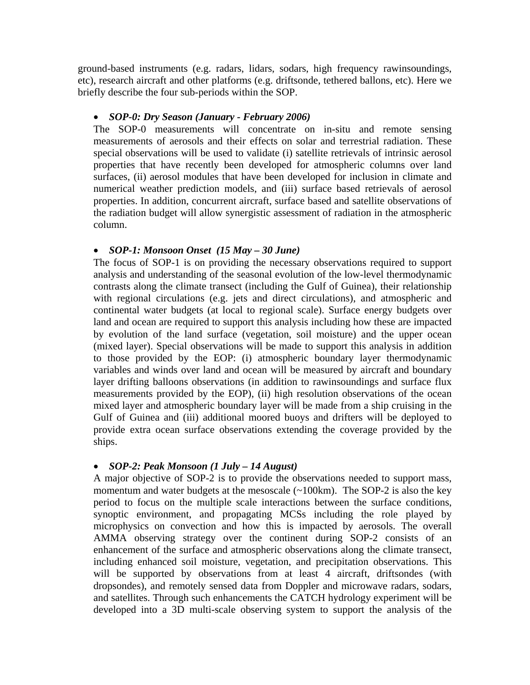ground-based instruments (e.g. radars, lidars, sodars, high frequency rawinsoundings, etc), research aircraft and other platforms (e.g. driftsonde, tethered ballons, etc). Here we briefly describe the four sub-periods within the SOP.

### • *SOP-0: Dry Season (January - February 2006)*

The SOP-0 measurements will concentrate on in-situ and remote sensing measurements of aerosols and their effects on solar and terrestrial radiation. These special observations will be used to validate (i) satellite retrievals of intrinsic aerosol properties that have recently been developed for atmospheric columns over land surfaces, (ii) aerosol modules that have been developed for inclusion in climate and numerical weather prediction models, and (iii) surface based retrievals of aerosol properties. In addition, concurrent aircraft, surface based and satellite observations of the radiation budget will allow synergistic assessment of radiation in the atmospheric column.

#### • *SOP-1: Monsoon Onset (15 May – 30 June)*

The focus of SOP-1 is on providing the necessary observations required to support analysis and understanding of the seasonal evolution of the low-level thermodynamic contrasts along the climate transect (including the Gulf of Guinea), their relationship with regional circulations (e.g. jets and direct circulations), and atmospheric and continental water budgets (at local to regional scale). Surface energy budgets over land and ocean are required to support this analysis including how these are impacted by evolution of the land surface (vegetation, soil moisture) and the upper ocean (mixed layer). Special observations will be made to support this analysis in addition to those provided by the EOP: (i) atmospheric boundary layer thermodynamic variables and winds over land and ocean will be measured by aircraft and boundary layer drifting balloons observations (in addition to rawinsoundings and surface flux measurements provided by the EOP), (ii) high resolution observations of the ocean mixed layer and atmospheric boundary layer will be made from a ship cruising in the Gulf of Guinea and (iii) additional moored buoys and drifters will be deployed to provide extra ocean surface observations extending the coverage provided by the ships.

### • *SOP-2: Peak Monsoon (1 July – 14 August)*

A major objective of SOP-2 is to provide the observations needed to support mass, momentum and water budgets at the mesoscale  $(\sim 100 \text{km})$ . The SOP-2 is also the key period to focus on the multiple scale interactions between the surface conditions, synoptic environment, and propagating MCSs including the role played by microphysics on convection and how this is impacted by aerosols. The overall AMMA observing strategy over the continent during SOP-2 consists of an enhancement of the surface and atmospheric observations along the climate transect, including enhanced soil moisture, vegetation, and precipitation observations. This will be supported by observations from at least 4 aircraft, driftsondes (with dropsondes), and remotely sensed data from Doppler and microwave radars, sodars, and satellites. Through such enhancements the CATCH hydrology experiment will be developed into a 3D multi-scale observing system to support the analysis of the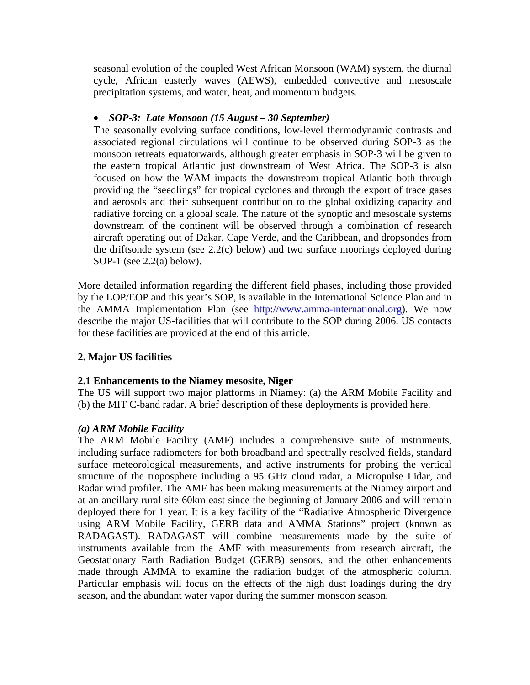seasonal evolution of the coupled West African Monsoon (WAM) system, the diurnal cycle, African easterly waves (AEWS), embedded convective and mesoscale precipitation systems, and water, heat, and momentum budgets.

# • *SOP-3: Late Monsoon (15 August – 30 September)*

The seasonally evolving surface conditions, low-level thermodynamic contrasts and associated regional circulations will continue to be observed during SOP-3 as the monsoon retreats equatorwards, although greater emphasis in SOP-3 will be given to the eastern tropical Atlantic just downstream of West Africa. The SOP-3 is also focused on how the WAM impacts the downstream tropical Atlantic both through providing the "seedlings" for tropical cyclones and through the export of trace gases and aerosols and their subsequent contribution to the global oxidizing capacity and radiative forcing on a global scale. The nature of the synoptic and mesoscale systems downstream of the continent will be observed through a combination of research aircraft operating out of Dakar, Cape Verde, and the Caribbean, and dropsondes from the driftsonde system (see 2.2(c) below) and two surface moorings deployed during SOP-1 (see 2.2(a) below).

More detailed information regarding the different field phases, including those provided by the LOP/EOP and this year's SOP, is available in the International Science Plan and in the AMMA Implementation Plan (see http://www.amma-international.org). We now describe the major US-facilities that will contribute to the SOP during 2006. US contacts for these facilities are provided at the end of this article.

# **2. Major US facilities**

### **2.1 Enhancements to the Niamey mesosite, Niger**

The US will support two major platforms in Niamey: (a) the ARM Mobile Facility and (b) the MIT C-band radar. A brief description of these deployments is provided here.

### *(a) ARM Mobile Facility*

The ARM Mobile Facility (AMF) includes a comprehensive suite of instruments, including surface radiometers for both broadband and spectrally resolved fields, standard surface meteorological measurements, and active instruments for probing the vertical structure of the troposphere including a 95 GHz cloud radar, a Micropulse Lidar, and Radar wind profiler. The AMF has been making measurements at the Niamey airport and at an ancillary rural site 60km east since the beginning of January 2006 and will remain deployed there for 1 year. It is a key facility of the "Radiative Atmospheric Divergence using ARM Mobile Facility, GERB data and AMMA Stations" project (known as RADAGAST). RADAGAST will combine measurements made by the suite of instruments available from the AMF with measurements from research aircraft, the Geostationary Earth Radiation Budget (GERB) sensors, and the other enhancements made through AMMA to examine the radiation budget of the atmospheric column. Particular emphasis will focus on the effects of the high dust loadings during the dry season, and the abundant water vapor during the summer monsoon season.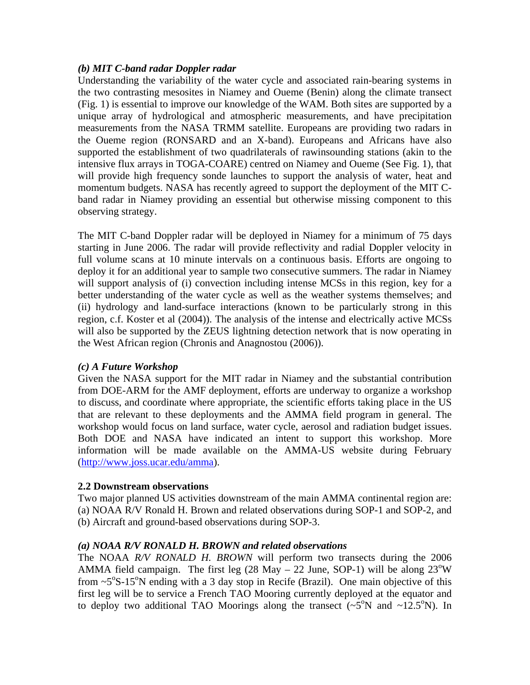## *(b) MIT C-band radar Doppler radar*

Understanding the variability of the water cycle and associated rain-bearing systems in the two contrasting mesosites in Niamey and Oueme (Benin) along the climate transect (Fig. 1) is essential to improve our knowledge of the WAM. Both sites are supported by a unique array of hydrological and atmospheric measurements, and have precipitation measurements from the NASA TRMM satellite. Europeans are providing two radars in the Oueme region (RONSARD and an X-band). Europeans and Africans have also supported the establishment of two quadrilaterals of rawinsounding stations (akin to the intensive flux arrays in TOGA-COARE) centred on Niamey and Oueme (See Fig. 1), that will provide high frequency sonde launches to support the analysis of water, heat and momentum budgets. NASA has recently agreed to support the deployment of the MIT Cband radar in Niamey providing an essential but otherwise missing component to this observing strategy.

The MIT C-band Doppler radar will be deployed in Niamey for a minimum of 75 days starting in June 2006. The radar will provide reflectivity and radial Doppler velocity in full volume scans at 10 minute intervals on a continuous basis. Efforts are ongoing to deploy it for an additional year to sample two consecutive summers. The radar in Niamey will support analysis of (i) convection including intense MCSs in this region, key for a better understanding of the water cycle as well as the weather systems themselves; and (ii) hydrology and land-surface interactions (known to be particularly strong in this region, c.f. Koster et al (2004)). The analysis of the intense and electrically active MCSs will also be supported by the ZEUS lightning detection network that is now operating in the West African region (Chronis and Anagnostou (2006)).

### *(c) A Future Workshop*

Given the NASA support for the MIT radar in Niamey and the substantial contribution from DOE-ARM for the AMF deployment, efforts are underway to organize a workshop to discuss, and coordinate where appropriate, the scientific efforts taking place in the US that are relevant to these deployments and the AMMA field program in general. The workshop would focus on land surface, water cycle, aerosol and radiation budget issues. Both DOE and NASA have indicated an intent to support this workshop. More information will be made available on the AMMA-US website during February (http://www.joss.ucar.edu/amma).

### **2.2 Downstream observations**

Two major planned US activities downstream of the main AMMA continental region are: (a) NOAA R/V Ronald H. Brown and related observations during SOP-1 and SOP-2, and (b) Aircraft and ground-based observations during SOP-3.

# *(a) NOAA R/V RONALD H. BROWN and related observations*

The NOAA *R/V RONALD H. BROWN* will perform two transects during the 2006 AMMA field campaign. The first leg  $(28 \text{ May} - 22 \text{ June}, \text{SOP-1})$  will be along  $23^{\circ}\text{W}$ from  $\sim$  5°S-15°N ending with a 3 day stop in Recife (Brazil). One main objective of this first leg will be to service a French TAO Mooring currently deployed at the equator and to deploy two additional TAO Moorings along the transect  $(-5^\circ N$  and  $-12.5^\circ N$ ). In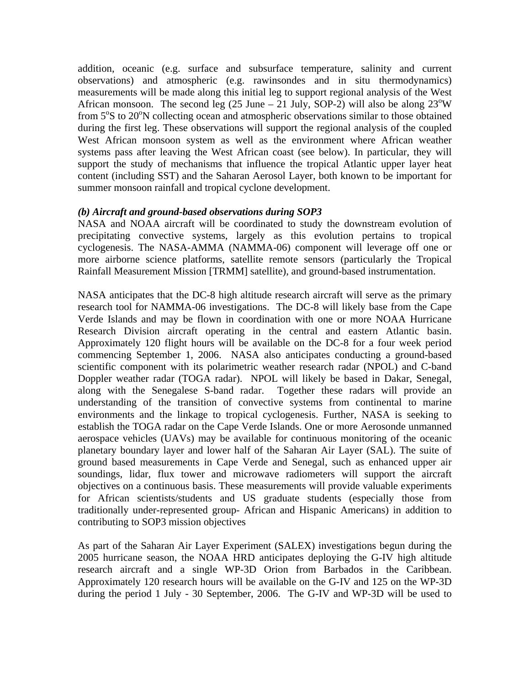addition, oceanic (e.g. surface and subsurface temperature, salinity and current observations) and atmospheric (e.g. rawinsondes and in situ thermodynamics) measurements will be made along this initial leg to support regional analysis of the West African monsoon. The second leg  $(25 \text{ June} - 21 \text{ July}, \text{SOP-2})$  will also be along  $23^{\circ}\text{W}$ from 5°S to 20°N collecting ocean and atmospheric observations similar to those obtained during the first leg. These observations will support the regional analysis of the coupled West African monsoon system as well as the environment where African weather systems pass after leaving the West African coast (see below). In particular, they will support the study of mechanisms that influence the tropical Atlantic upper layer heat content (including SST) and the Saharan Aerosol Layer, both known to be important for summer monsoon rainfall and tropical cyclone development.

### *(b) Aircraft and ground-based observations during SOP3*

NASA and NOAA aircraft will be coordinated to study the downstream evolution of precipitating convective systems, largely as this evolution pertains to tropical cyclogenesis. The NASA-AMMA (NAMMA-06) component will leverage off one or more airborne science platforms, satellite remote sensors (particularly the Tropical Rainfall Measurement Mission [TRMM] satellite), and ground-based instrumentation.

NASA anticipates that the DC-8 high altitude research aircraft will serve as the primary research tool for NAMMA-06 investigations. The DC-8 will likely base from the Cape Verde Islands and may be flown in coordination with one or more NOAA Hurricane Research Division aircraft operating in the central and eastern Atlantic basin. Approximately 120 flight hours will be available on the DC-8 for a four week period commencing September 1, 2006. NASA also anticipates conducting a ground-based scientific component with its polarimetric weather research radar (NPOL) and C-band Doppler weather radar (TOGA radar). NPOL will likely be based in Dakar, Senegal, along with the Senegalese S-band radar. Together these radars will provide an understanding of the transition of convective systems from continental to marine environments and the linkage to tropical cyclogenesis. Further, NASA is seeking to establish the TOGA radar on the Cape Verde Islands. One or more Aerosonde unmanned aerospace vehicles (UAVs) may be available for continuous monitoring of the oceanic planetary boundary layer and lower half of the Saharan Air Layer (SAL). The suite of ground based measurements in Cape Verde and Senegal, such as enhanced upper air soundings, lidar, flux tower and microwave radiometers will support the aircraft objectives on a continuous basis. These measurements will provide valuable experiments for African scientists/students and US graduate students (especially those from traditionally under-represented group- African and Hispanic Americans) in addition to contributing to SOP3 mission objectives

As part of the Saharan Air Layer Experiment (SALEX) investigations begun during the 2005 hurricane season, the NOAA HRD anticipates deploying the G-IV high altitude research aircraft and a single WP-3D Orion from Barbados in the Caribbean. Approximately 120 research hours will be available on the G-IV and 125 on the WP-3D during the period 1 July - 30 September, 2006. The G-IV and WP-3D will be used to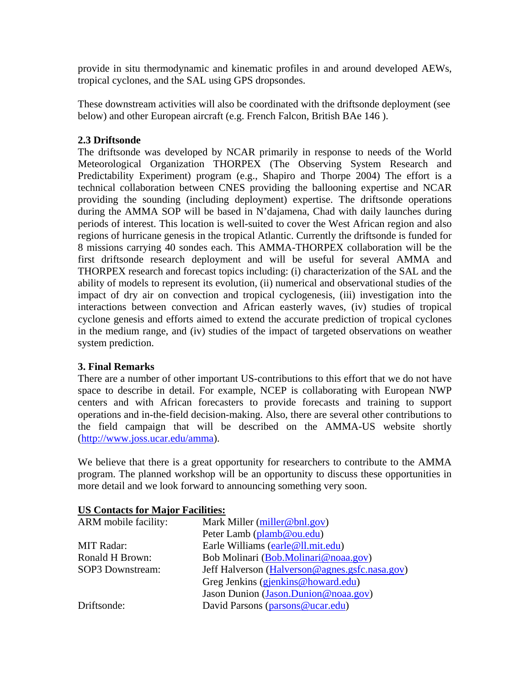provide in situ thermodynamic and kinematic profiles in and around developed AEWs, tropical cyclones, and the SAL using GPS dropsondes.

These downstream activities will also be coordinated with the driftsonde deployment (see below) and other European aircraft (e.g. French Falcon, British BAe 146 ).

# **2.3 Driftsonde**

The driftsonde was developed by NCAR primarily in response to needs of the World Meteorological Organization THORPEX (The Observing System Research and Predictability Experiment) program (e.g., Shapiro and Thorpe 2004) The effort is a technical collaboration between CNES providing the ballooning expertise and NCAR providing the sounding (including deployment) expertise. The driftsonde operations during the AMMA SOP will be based in N'dajamena, Chad with daily launches during periods of interest. This location is well-suited to cover the West African region and also regions of hurricane genesis in the tropical Atlantic. Currently the driftsonde is funded for 8 missions carrying 40 sondes each. This AMMA-THORPEX collaboration will be the first driftsonde research deployment and will be useful for several AMMA and THORPEX research and forecast topics including: (i) characterization of the SAL and the ability of models to represent its evolution, (ii) numerical and observational studies of the impact of dry air on convection and tropical cyclogenesis, (iii) investigation into the interactions between convection and African easterly waves, (iv) studies of tropical cyclone genesis and efforts aimed to extend the accurate prediction of tropical cyclones in the medium range, and (iv) studies of the impact of targeted observations on weather system prediction.

### **3. Final Remarks**

There are a number of other important US-contributions to this effort that we do not have space to describe in detail. For example, NCEP is collaborating with European NWP centers and with African forecasters to provide forecasts and training to support operations and in-the-field decision-making. Also, there are several other contributions to the field campaign that will be described on the AMMA-US website shortly (http://www.joss.ucar.edu/amma).

We believe that there is a great opportunity for researchers to contribute to the AMMA program. The planned workshop will be an opportunity to discuss these opportunities in more detail and we look forward to announcing something very soon.

| ARM mobile facility: | Mark Miller (miller@bnl.gov)                   |
|----------------------|------------------------------------------------|
|                      | Peter Lamb (plamb@ou.edu)                      |
| <b>MIT Radar:</b>    | Earle Williams (earle@ll.mit.edu)              |
| Ronald H Brown:      | Bob Molinari (Bob.Molinari@noaa.gov)           |
| SOP3 Downstream:     | Jeff Halverson (Halverson@agnes.gsfc.nasa.gov) |
|                      | Greg Jenkins (gjenkins@howard.edu)             |
|                      | Jason Dunion (Jason.Dunion@noaa.gov)           |
| Driftsonde:          | David Parsons (parsons@ucar.edu)               |

### **US Contacts for Major Facilities:**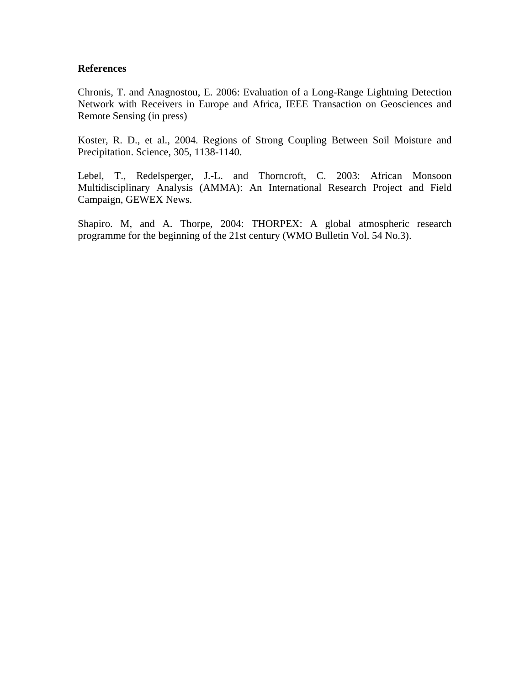#### **References**

Chronis, T. and Anagnostou, E. 2006: Evaluation of a Long-Range Lightning Detection Network with Receivers in Europe and Africa, IEEE Transaction on Geosciences and Remote Sensing (in press)

Koster, R. D., et al., 2004. Regions of Strong Coupling Between Soil Moisture and Precipitation. Science, 305, 1138-1140.

Lebel, T., Redelsperger, J.-L. and Thorncroft, C. 2003: African Monsoon Multidisciplinary Analysis (AMMA): An International Research Project and Field Campaign, GEWEX News.

Shapiro. M, and A. Thorpe, 2004: THORPEX: A global atmospheric research programme for the beginning of the 21st century (WMO Bulletin Vol. 54 No.3).